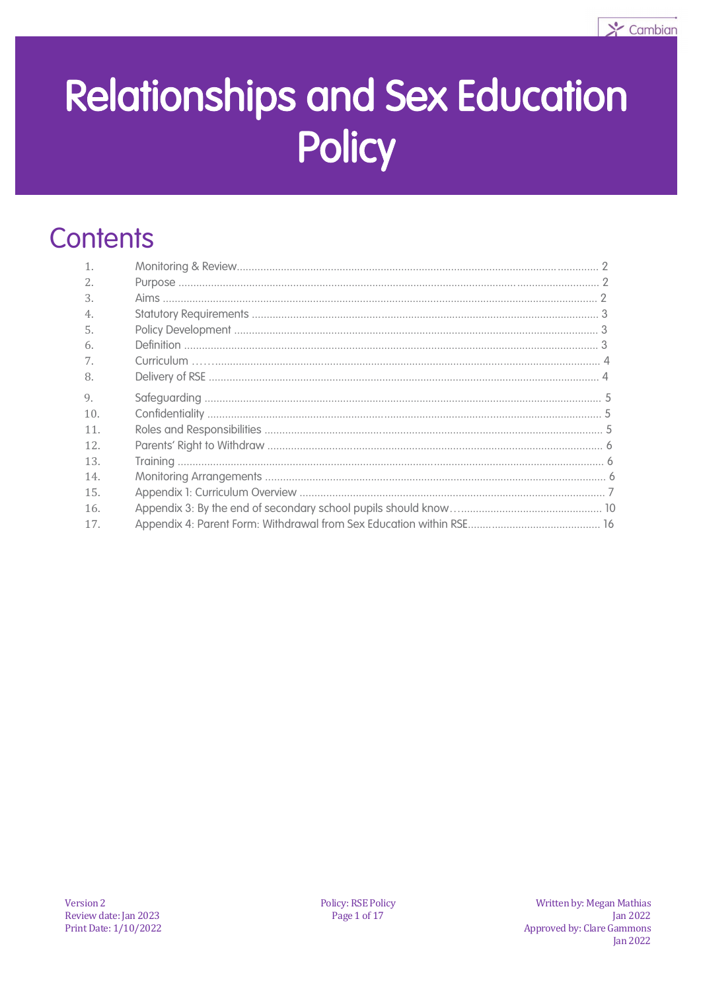

# **Relationships and Sex Education Policy**

# **Contents**

| $\mathbf{1}$ .   |  |
|------------------|--|
| 2.               |  |
| 3.               |  |
| $\overline{4}$ . |  |
| .5.              |  |
| 6.               |  |
| 7.               |  |
| 8.               |  |
| 9.               |  |
| 10.              |  |
| 11.              |  |
| 12.              |  |
| 13.              |  |
| 14.              |  |
| 15.              |  |
| 16.              |  |
| 17.              |  |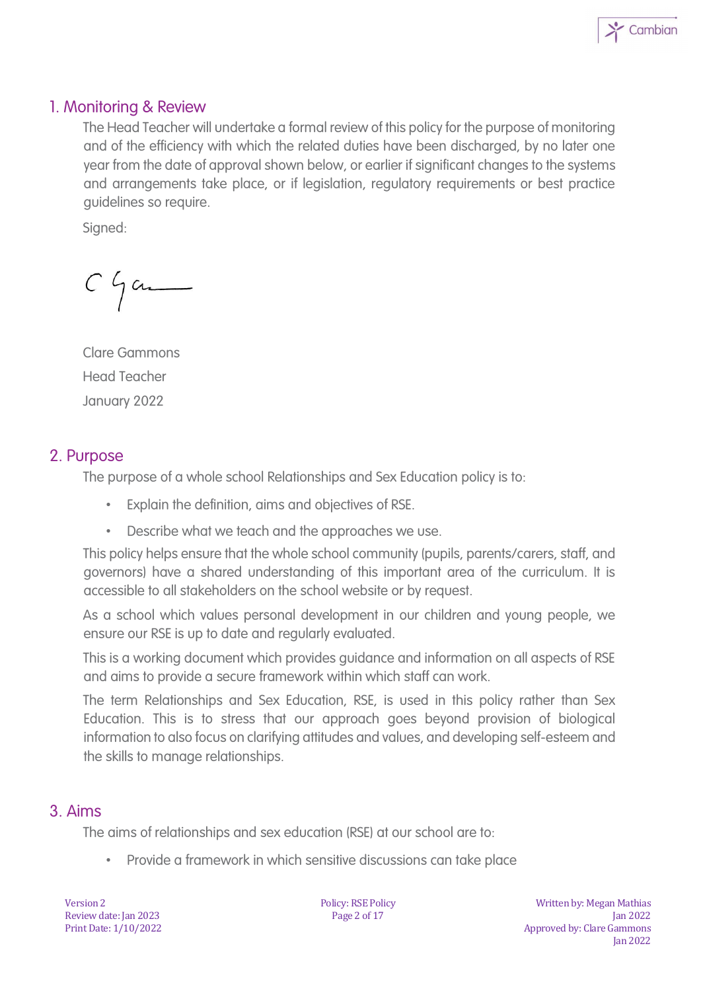

#### 1. Monitoring & Review

The Head Teacher will undertake a formal review of this policy for the purpose of monitoring and of the efficiency with which the related duties have been discharged, by no later one year from the date of approval shown below, or earlier if significant changes to the systems and arrangements take place, or if legislation, regulatory requirements or best practice guidelines so require.

Signed:

 $C$   $\int$  and

Clare Gammons Head Teacher January 2022

#### 2. Purpose

The purpose of a whole school Relationships and Sex Education policy is to:

- Explain the definition, aims and objectives of RSE.
- Describe what we teach and the approaches we use.

This policy helps ensure that the whole school community (pupils, parents/carers, staff, and governors) have a shared understanding of this important area of the curriculum. It is accessible to all stakeholders on the school website or by request.

As a school which values personal development in our children and young people, we ensure our RSE is up to date and regularly evaluated.

This is a working document which provides guidance and information on all aspects of RSE and aims to provide a secure framework within which staff can work.

The term Relationships and Sex Education, RSE, is used in this policy rather than Sex Education. This is to stress that our approach goes beyond provision of biological information to also focus on clarifying attitudes and values, and developing self-esteem and the skills to manage relationships.

#### 3. Aims

The aims of relationships and sex education (RSE) at our school are to:

• Provide a framework in which sensitive discussions can take place

Version 2 Review date: Jan 2023 Print Date: 1/10/2022 Policy: RSE Policy Page 2 of 17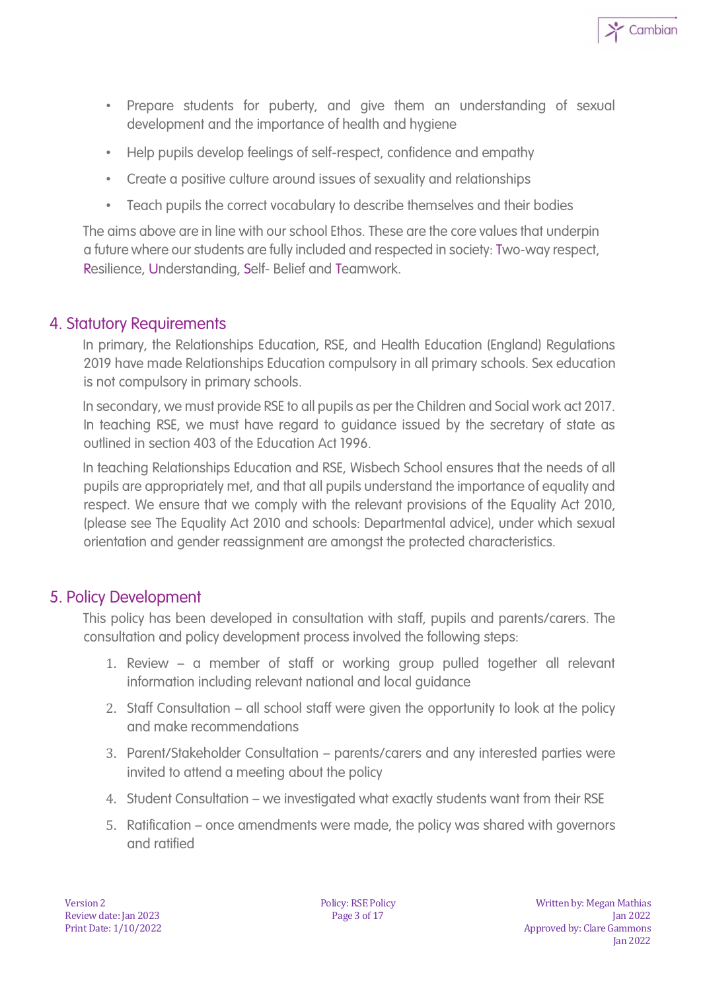

- Prepare students for puberty, and give them an understanding of sexual development and the importance of health and hygiene
- Help pupils develop feelings of self-respect, confidence and empathy
- Create a positive culture around issues of sexuality and relationships
- Teach pupils the correct vocabulary to describe themselves and their bodies

The aims above are in line with our school Ethos. These are the core values that underpin a future where our students are fully included and respected in society: Two-way respect, Resilience, Understanding, Self- Belief and Teamwork.

#### 4. Statutory Requirements

In primary, the Relationships Education, RSE, and Health Education (England) Regulations 2019 have made Relationships Education compulsory in all primary schools. Sex education is not compulsory in primary schools.

In secondary, we must provide RSE to all pupils as per the Children and Social work act 2017. In teaching RSE, we must have regard to guidance issued by the secretary of state as outlined in section 403 of the Education Act 1996.

In teaching Relationships Education and RSE, Wisbech School ensures that the needs of all pupils are appropriately met, and that all pupils understand the importance of equality and respect. We ensure that we comply with the relevant provisions of the Equality Act 2010, (please see The Equality Act 2010 and schools: Departmental advice), under which sexual orientation and gender reassignment are amongst the protected characteristics.

#### 5. Policy Development

This policy has been developed in consultation with staff, pupils and parents/carers. The consultation and policy development process involved the following steps:

- 1. Review a member of staff or working group pulled together all relevant information including relevant national and local guidance
- 2. Staff Consultation all school staff were given the opportunity to look at the policy and make recommendations
- 3. Parent/Stakeholder Consultation parents/carers and any interested parties were invited to attend a meeting about the policy
- 4. Student Consultation we investigated what exactly students want from their RSE
- 5. Ratification once amendments were made, the policy was shared with governors and ratified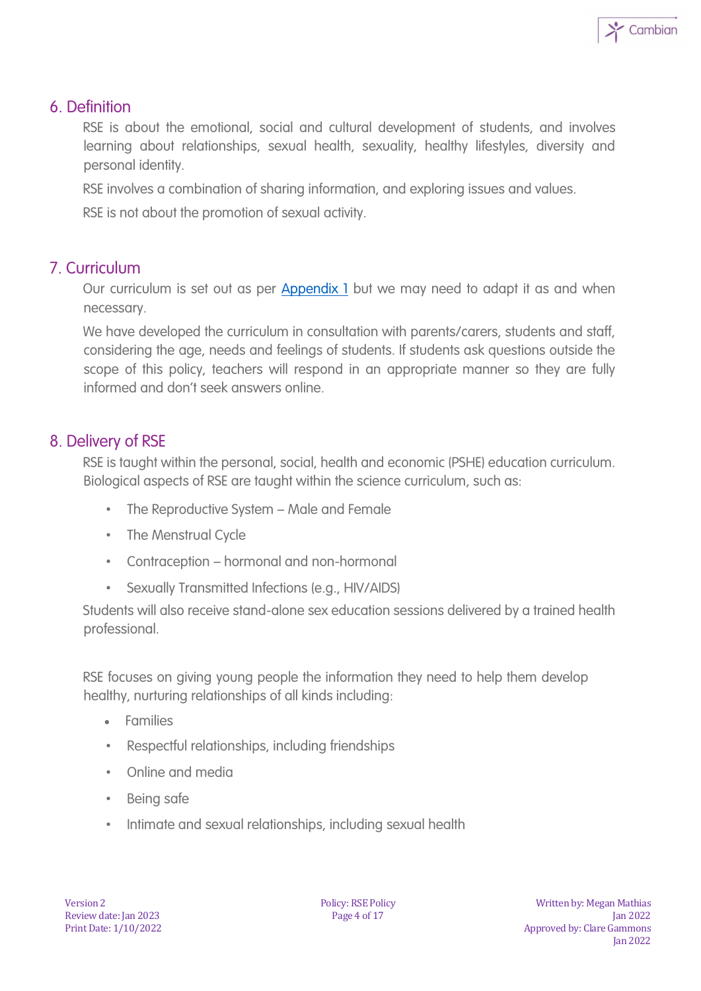

#### 6. Definition

RSE is about the emotional, social and cultural development of students, and involves learning about relationships, sexual health, sexuality, healthy lifestyles, diversity and personal identity.

RSE involves a combination of sharing information, and exploring issues and values.

RSE is not about the promotion of sexual activity.

#### 7. Curriculum

Our curriculum is set out as per Appendix 1 but we may need to adapt it as and when necessary.

We have developed the curriculum in consultation with parents/carers, students and staff, considering the age, needs and feelings of students. If students ask questions outside the scope of this policy, teachers will respond in an appropriate manner so they are fully informed and don't seek answers online.

#### 8. Delivery of RSE

RSE is taught within the personal, social, health and economic (PSHE) education curriculum. Biological aspects of RSE are taught within the science curriculum, such as:

- The Reproductive System Male and Female
- The Menstrual Cycle
- Contraception hormonal and non-hormonal
- Sexually Transmitted Infections (e.g., HIV/AIDS)

Students will also receive stand-alone sex education sessions delivered by a trained health professional.

RSE focuses on giving young people the information they need to help them develop healthy, nurturing relationships of all kinds including:

- Families
- Respectful relationships, including friendships
- Online and media
- Being safe
- Intimate and sexual relationships, including sexual health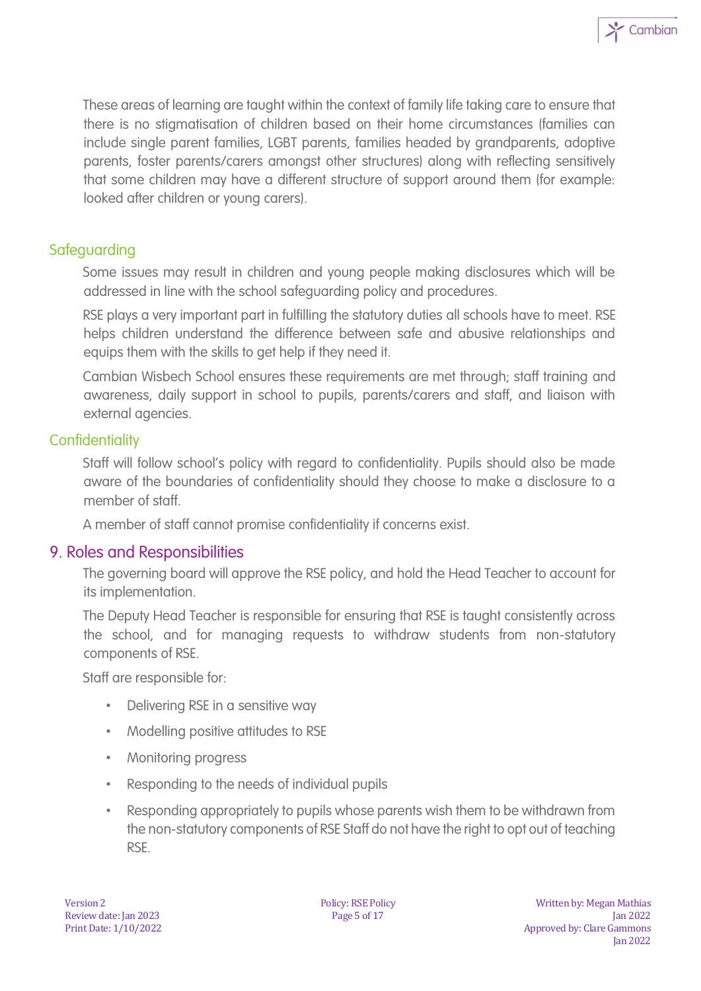

#### **Safeguarding**

Some issues may result in children and young people making disclosures which will be addressed in line with the school safeguarding policy and procedures.

RSE plays a very important part in fulfilling the statutory duties all schools have to meet. RSE helps children understand the difference between safe and abusive relationships and equips them with the skills to get help if they need it.

Cambian Wisbech School ensures these requirements are met through; staff training and awareness, daily support in school to pupils, parents/carers and staff, and liaison with external agencies.

#### **Confidentiality**

Staff will follow school's policy with regard to confidentiality. Pupils should also be made aware of the boundaries of confidentiality should they choose to make a disclosure to a member of staff.

A member of staff cannot promise confidentiality if concerns exist.

#### 9. Roles and Responsibilities

The governing board will approve the RSE policy, and hold the Head Teacher to account for its implementation.

The Deputy Head Teacher is responsible for ensuring that RSE is taught consistently across the school, and for managing requests to withdraw students from non-statutory components of RSE.

Staff are responsible for:

- Delivering RSE in a sensitive way
- Modelling positive attitudes to RSE
- Monitoring progress
- Responding to the needs of individual pupils
- Responding appropriately to pupils whose parents wish them to be withdrawn from the non-statutory components of RSE Staff do not have the right to opt out of teaching RSE.

 $\sum$  Cambian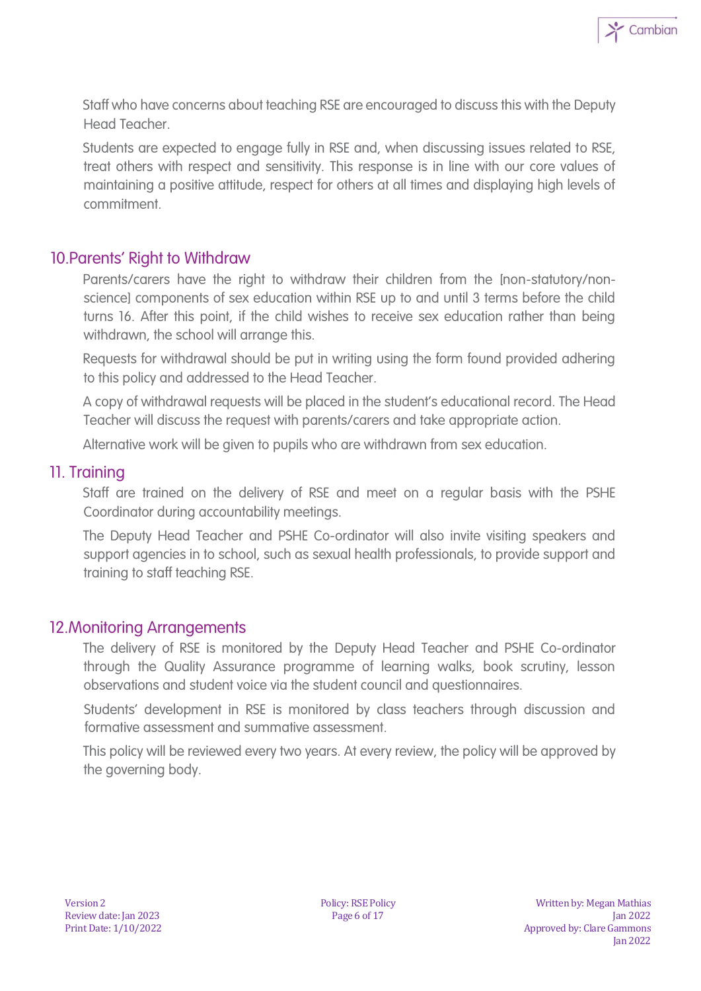Staff who have concerns about teaching RSE are encouraged to discuss this with the Deputy Head Teacher.

Students are expected to engage fully in RSE and, when discussing issues related to RSE, treat others with respect and sensitivity. This response is in line with our core values of maintaining a positive attitude, respect for others at all times and displaying high levels of commitment.

#### 10.Parents' Right to Withdraw

Parents/carers have the right to withdraw their children from the [non-statutory/nonscience] components of sex education within RSE up to and until 3 terms before the child turns 16. After this point, if the child wishes to receive sex education rather than being withdrawn, the school will arrange this.

Requests for withdrawal should be put in writing using the form found provided adhering to this policy and addressed to the Head Teacher.

A copy of withdrawal requests will be placed in the student's educational record. The Head Teacher will discuss the request with parents/carers and take appropriate action.

Alternative work will be given to pupils who are withdrawn from sex education.

#### 11. Training

Staff are trained on the delivery of RSE and meet on a regular basis with the PSHE Coordinator during accountability meetings.

The Deputy Head Teacher and PSHE Co-ordinator will also invite visiting speakers and support agencies in to school, such as sexual health professionals, to provide support and training to staff teaching RSE.

#### 12.Monitoring Arrangements

The delivery of RSE is monitored by the Deputy Head Teacher and PSHE Co-ordinator through the Quality Assurance programme of learning walks, book scrutiny, lesson observations and student voice via the student council and questionnaires.

Students' development in RSE is monitored by class teachers through discussion and formative assessment and summative assessment.

This policy will be reviewed every two years. At every review, the policy will be approved by the governing body.

 $\sum$  Cambian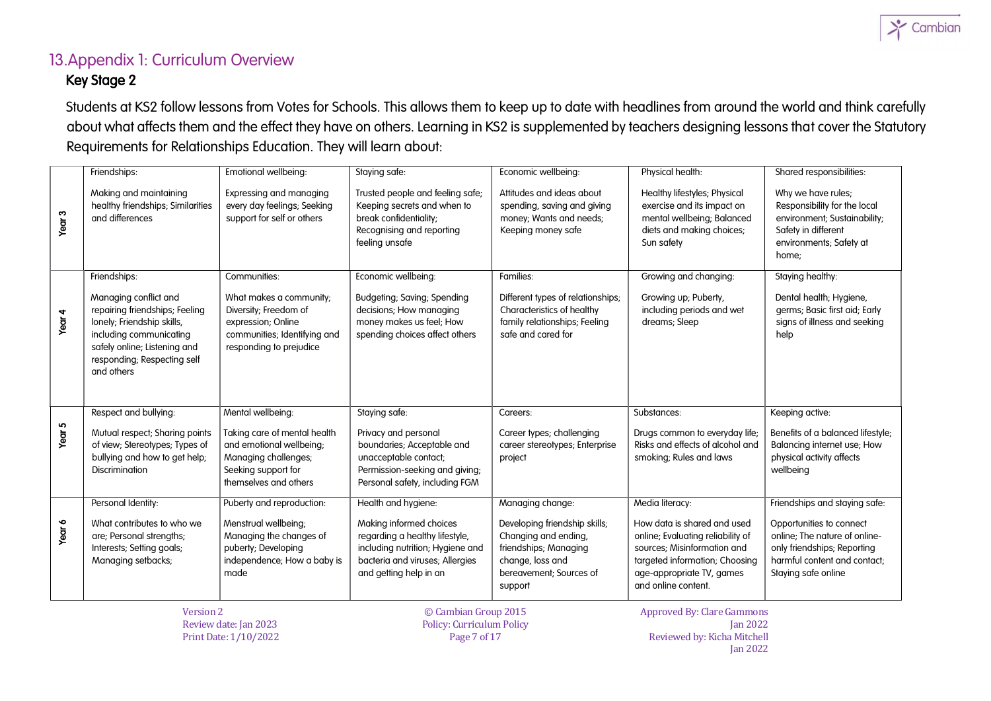

#### 13.Appendix 1: Curriculum Overview Key Stage 2

Students at KS2 follow lessons from Votes for Schools. This allows them to keep up to date with headlines from around the world and think carefully about what affects them and the effect they have on others. Learning in KS2 is supplemented by teachers designing lessons that cover the Statutory Requirements for Relationships Education. They will learn about:

|                   | Friendships:                                                                                                                                                                                  | Emotional wellbeing:                                                                                                              | Staying safe:                                                                                                                                              | Economic wellbeing:                                                                                                                      | Physical health:                                                                                                                                                                      | Shared responsibilities:                                                                                                                        |
|-------------------|-----------------------------------------------------------------------------------------------------------------------------------------------------------------------------------------------|-----------------------------------------------------------------------------------------------------------------------------------|------------------------------------------------------------------------------------------------------------------------------------------------------------|------------------------------------------------------------------------------------------------------------------------------------------|---------------------------------------------------------------------------------------------------------------------------------------------------------------------------------------|-------------------------------------------------------------------------------------------------------------------------------------------------|
| Year <sub>3</sub> | Making and maintaining<br>healthy friendships; Similarities<br>and differences                                                                                                                | Expressing and managing<br>every day feelings; Seeking<br>support for self or others                                              | Trusted people and feeling safe;<br>Keeping secrets and when to<br>break confidentiality;<br>Recognising and reporting<br>feeling unsafe                   | Attitudes and ideas about<br>spending, saving and giving<br>money; Wants and needs;<br>Keeping money safe                                | Healthy lifestyles; Physical<br>exercise and its impact on<br>mental wellbeing; Balanced<br>diets and making choices;<br>Sun safety                                                   | Why we have rules;<br>Responsibility for the local<br>environment; Sustainability;<br>Safety in different<br>environments; Safety at<br>home;   |
|                   | Friendships:                                                                                                                                                                                  | Communities:                                                                                                                      | Economic wellbeing:                                                                                                                                        | Families:                                                                                                                                | Growing and changing:                                                                                                                                                                 | Staying healthy:                                                                                                                                |
| Year <sub>4</sub> | Managing conflict and<br>repairing friendships; Feeling<br>lonely; Friendship skills,<br>including communicating<br>safely online; Listening and<br>responding; Respecting self<br>and others | What makes a community;<br>Diversity; Freedom of<br>expression; Online<br>communities; Identifying and<br>responding to prejudice | <b>Budgeting; Saving; Spending</b><br>decisions; How managing<br>money makes us feel; How<br>spending choices affect others                                | Different types of relationships;<br>Characteristics of healthy<br>family relationships; Feeling<br>safe and cared for                   | Growing up; Puberty,<br>including periods and wet<br>dreams; Sleep                                                                                                                    | Dental health; Hygiene,<br>germs; Basic first aid; Early<br>signs of illness and seeking<br>help                                                |
|                   | Respect and bullying:                                                                                                                                                                         | Mental wellbeing:                                                                                                                 | Staying safe:                                                                                                                                              | Careers:                                                                                                                                 | Substances:                                                                                                                                                                           | Keeping active:                                                                                                                                 |
| Year 5            | Mutual respect; Sharing points<br>of view; Stereotypes; Types of<br>bullying and how to get help;<br><b>Discrimination</b>                                                                    | Taking care of mental health<br>and emotional wellbeing;<br>Managing challenges;<br>Seeking support for<br>themselves and others  | Privacy and personal<br>boundaries; Acceptable and<br>unacceptable contact;<br>Permission-seeking and giving;<br>Personal safety, including FGM            | Career types; challenging<br>career stereotypes; Enterprise<br>project                                                                   | Drugs common to everyday life;<br>Risks and effects of alcohol and<br>smoking; Rules and laws                                                                                         | Benefits of a balanced lifestyle;<br>Balancing internet use; How<br>physical activity affects<br>wellbeing                                      |
|                   | Personal Identity:                                                                                                                                                                            | Puberty and reproduction:                                                                                                         | Health and hygiene:                                                                                                                                        | Managing change:                                                                                                                         | Media literacy:                                                                                                                                                                       | Friendships and staying safe:                                                                                                                   |
| Year 6            | What contributes to who we<br>are; Personal strengths;<br>Interests; Setting goals;<br>Managing setbacks;                                                                                     | Menstrual wellbeing;<br>Managing the changes of<br>puberty; Developing<br>independence; How a baby is<br>made                     | Making informed choices<br>regarding a healthy lifestyle,<br>including nutrition; Hygiene and<br>bacteria and viruses; Allergies<br>and getting help in an | Developing friendship skills;<br>Changing and ending,<br>friendships; Managing<br>change, loss and<br>bereavement; Sources of<br>support | How data is shared and used<br>online; Evaluating reliability of<br>sources; Misinformation and<br>targeted information; Choosing<br>age-appropriate TV, games<br>and online content. | Opportunities to connect<br>online; The nature of online-<br>only friendships; Reporting<br>harmful content and contact;<br>Staying safe online |
|                   | Version 2                                                                                                                                                                                     | $D = 1 - 1 + 1 - 1 - 2000$                                                                                                        | © Cambian Group 2015<br>$D = U$ and $D = U$ and $U = U$ and $U = U$                                                                                        |                                                                                                                                          | <b>Approved By: Clare Gammons</b><br>$L = 2022$                                                                                                                                       |                                                                                                                                                 |

Review date: Jan 2023 Print Date: 1/10/2022 Policy: Curriculum Policy Page 7 of 17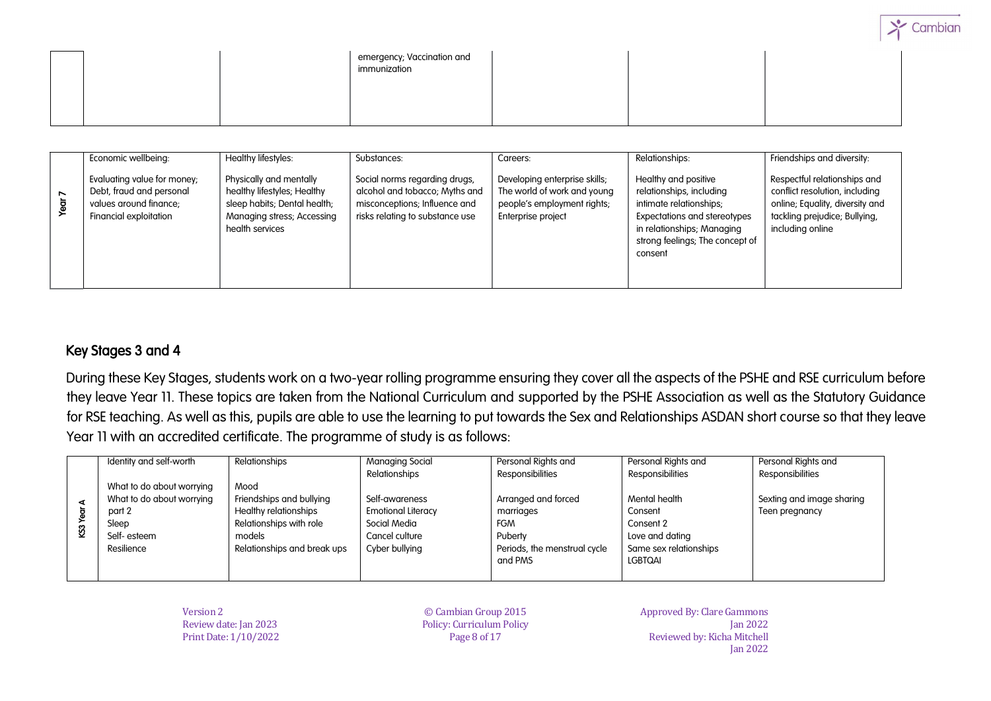|  | emergency; Vaccination and<br>immunization |  |  |
|--|--------------------------------------------|--|--|
|  |                                            |  |  |

|   | Economic wellbeing:                                                                                         | Healthy lifestyles:                                                                                                                     | Substances:                                                                                                                         | Careers:                                                                                                          | Relationships:                                                                                                                                                                                 | Friendships and diversity:                                                                                                                             |
|---|-------------------------------------------------------------------------------------------------------------|-----------------------------------------------------------------------------------------------------------------------------------------|-------------------------------------------------------------------------------------------------------------------------------------|-------------------------------------------------------------------------------------------------------------------|------------------------------------------------------------------------------------------------------------------------------------------------------------------------------------------------|--------------------------------------------------------------------------------------------------------------------------------------------------------|
| ↖ | Evaluating value for money;<br>Debt, fraud and personal<br>values around finance:<br>Financial exploitation | Physically and mentally<br>healthy lifestyles; Healthy<br>sleep habits; Dental health;<br>Managing stress; Accessing<br>health services | Social norms regarding drugs,<br>alcohol and tobacco; Myths and<br>misconceptions; Influence and<br>risks relating to substance use | Developing enterprise skills;<br>The world of work and young<br>people's employment rights;<br>Enterprise project | Healthy and positive<br>relationships, including<br>intimate relationships;<br><b>Expectations and stereotypes</b><br>in relationships; Managing<br>strong feelings; The concept of<br>consent | Respectful relationships and<br>conflict resolution, including<br>online; Equality, diversity and<br>tackling prejudice; Bullying,<br>including online |

#### Key Stages 3 and 4

During these Key Stages, students work on a two-year rolling programme ensuring they cover all the aspects of the PSHE and RSE curriculum before they leave Year 11. These topics are taken from the National Curriculum and supported by the PSHE Association as well as the Statutory Guidance for RSE teaching. As well as this, pupils are able to use the learning to put towards the Sex and Relationships ASDAN short course so that they leave Year 11 with an accredited certificate. The programme of study is as follows:

|           | Identity and self-worth   | Relationships                | Managing Social           | Personal Rights and          | Personal Rights and    | Personal Rights and       |
|-----------|---------------------------|------------------------------|---------------------------|------------------------------|------------------------|---------------------------|
|           |                           |                              | Relationships             | Responsibilities             | Responsibilities       | Responsibilities          |
|           | What to do about worrying | Mood                         |                           |                              |                        |                           |
| ď         | What to do about worrying | Friendships and bullying     | Self-awareness            | Arranged and forced          | Mental health          | Sexting and image sharing |
| <b>SS</b> | part 2                    | <b>Healthy relationships</b> | <b>Emotional Literacy</b> | marriages                    | Consent                | Teen pregnancy            |
|           | Sleep                     | Relationships with role      | Social Media              | <b>FGM</b>                   | Consent 2              |                           |
|           | Self-esteem               | models                       | Cancel culture            | Puberty                      | Love and dating        |                           |
|           | Resilience                | Relationships and break ups  | Cyber bullying            | Periods, the menstrual cycle | Same sex relationships |                           |
|           |                           |                              |                           | and PMS                      | LGBTQAI                |                           |
|           |                           |                              |                           |                              |                        |                           |

Version 2 Review date: Jan 2023 Print Date: 1/10/2022

© Cambian Group 2015 Policy: Curriculum Policy Page 8 of 17

Approved By: Clare Gammons Jan 2022 Reviewed by: Kicha Mitchell Jan 2022 Cambia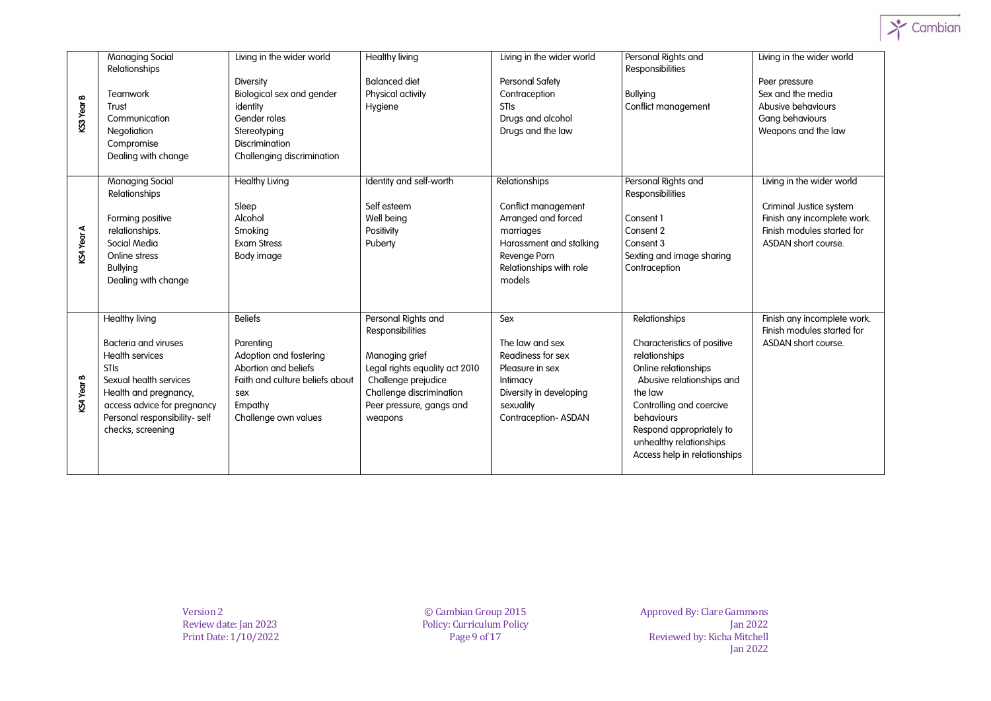

|            | <b>Managing Social</b>                                                                                                                                                                                                                | Living in the wider world                                                                                                                                  | <b>Healthy living</b>                                                                                                                                                                 | Living in the wider world                                                                                                                                | Personal Rights and                                                                                                                                                                                                                                            | Living in the wider world                                                                                                                |
|------------|---------------------------------------------------------------------------------------------------------------------------------------------------------------------------------------------------------------------------------------|------------------------------------------------------------------------------------------------------------------------------------------------------------|---------------------------------------------------------------------------------------------------------------------------------------------------------------------------------------|----------------------------------------------------------------------------------------------------------------------------------------------------------|----------------------------------------------------------------------------------------------------------------------------------------------------------------------------------------------------------------------------------------------------------------|------------------------------------------------------------------------------------------------------------------------------------------|
| KS3 Year B | Relationships<br>Teamwork<br>Trust<br>Communication<br>Negotiation<br>Compromise<br>Dealing with change                                                                                                                               | <b>Diversity</b><br>Biological sex and gender<br>identity<br>Gender roles<br>Stereotyping<br><b>Discrimination</b><br>Challenging discrimination           | <b>Balanced diet</b><br>Physical activity<br>Hygiene                                                                                                                                  | <b>Personal Safety</b><br>Contraception<br><b>STIS</b><br>Drugs and alcohol<br>Drugs and the law                                                         | Responsibilities<br><b>Bullying</b><br>Conflict management                                                                                                                                                                                                     | Peer pressure<br>Sex and the media<br>Abusive behaviours<br>Gang behaviours<br>Weapons and the law                                       |
| KS4 Year A | <b>Managing Social</b><br>Relationships<br>Forming positive<br>relationships.<br>Social Media<br>Online stress<br><b>Bullying</b><br>Dealing with change                                                                              | <b>Healthy Living</b><br>Sleep<br>Alcohol<br>Smoking<br><b>Exam Stress</b><br>Body image                                                                   | Identity and self-worth<br>Self esteem<br>Well being<br>Positivity<br>Puberty                                                                                                         | Relationships<br>Conflict management<br>Arranged and forced<br>marriages<br>Harassment and stalking<br>Revenge Porn<br>Relationships with role<br>models | Personal Rights and<br>Responsibilities<br>Consent 1<br>Consent 2<br>Consent 3<br>Sexting and image sharing<br>Contraception                                                                                                                                   | Living in the wider world<br>Criminal Justice system<br>Finish any incomplete work.<br>Finish modules started for<br>ASDAN short course. |
| KS4 Year B | <b>Healthy living</b><br><b>Bacteria and viruses</b><br><b>Health services</b><br><b>STIs</b><br>Sexual health services<br>Health and pregnancy,<br>access advice for pregnancy<br>Personal responsibility- self<br>checks, screening | <b>Beliefs</b><br>Parenting<br>Adoption and fostering<br>Abortion and beliefs<br>Faith and culture beliefs about<br>sex<br>Empathy<br>Challenge own values | Personal Rights and<br>Responsibilities<br>Managing grief<br>Legal rights equality act 2010<br>Challenge prejudice<br>Challenge discrimination<br>Peer pressure, gangs and<br>weapons | Sex<br>The law and sex<br>Readiness for sex<br>Pleasure in sex<br>Intimacy<br>Diversity in developing<br>sexuality<br>Contraception-ASDAN                | Relationships<br>Characteristics of positive<br>relationships<br>Online relationships<br>Abusive relationships and<br>the law<br>Controlling and coercive<br>behaviours<br>Respond appropriately to<br>unhealthy relationships<br>Access help in relationships | Finish any incomplete work.<br>Finish modules started for<br>ASDAN short course.                                                         |

Version 2 Review date: Jan 2023 Print Date: 1/10/2022 © Cambian Group 2015 Policy: Curriculum Policy Page 9 of 17

Approved By: Clare Gammons Jan 2022 Reviewed by: Kicha Mitchell Jan 2022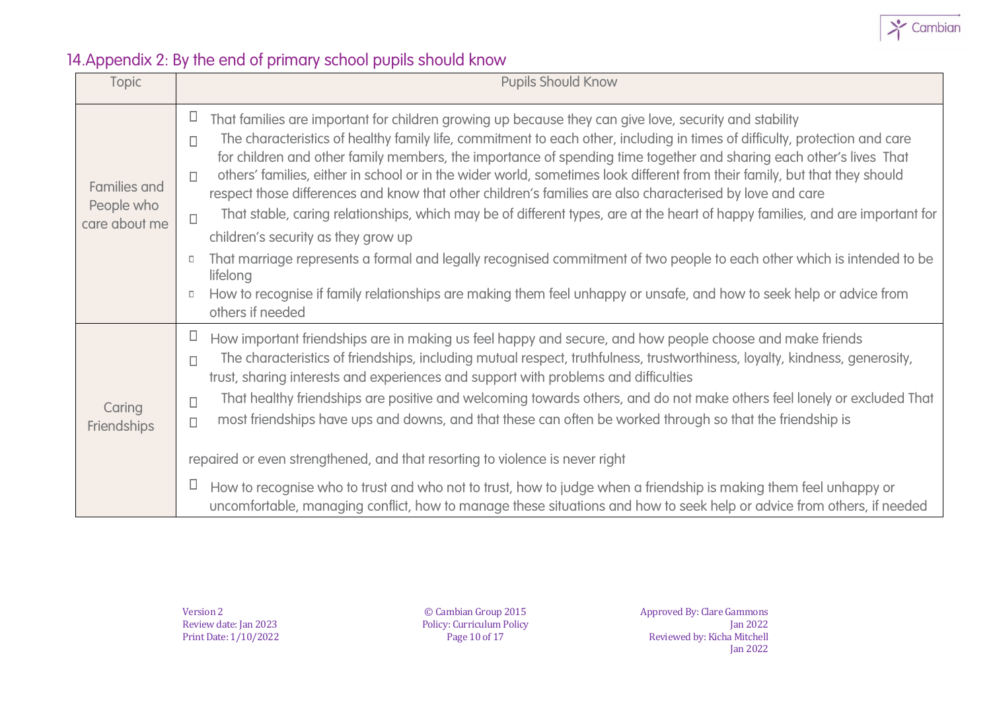

# 14.Appendix 2: By the end of primary school pupils should know

| Topic                                              | <b>Pupils Should Know</b>                                                                                                                                                                                                                                                                                                                                                                                                                                                                                                                                                                                                                                                                                                                                                                                                                                                                                                                                 |  |  |  |  |  |
|----------------------------------------------------|-----------------------------------------------------------------------------------------------------------------------------------------------------------------------------------------------------------------------------------------------------------------------------------------------------------------------------------------------------------------------------------------------------------------------------------------------------------------------------------------------------------------------------------------------------------------------------------------------------------------------------------------------------------------------------------------------------------------------------------------------------------------------------------------------------------------------------------------------------------------------------------------------------------------------------------------------------------|--|--|--|--|--|
| <b>Families and</b><br>People who<br>care about me | $\Box$<br>That families are important for children growing up because they can give love, security and stability<br>The characteristics of healthy family life, commitment to each other, including in times of difficulty, protection and care<br>$\Box$<br>for children and other family members, the importance of spending time together and sharing each other's lives That<br>others' families, either in school or in the wider world, sometimes look different from their family, but that they should<br>П<br>respect those differences and know that other children's families are also characterised by love and care<br>That stable, caring relationships, which may be of different types, are at the heart of happy families, and are important for<br>$\Box$<br>children's security as they grow up<br>That marriage represents a formal and legally recognised commitment of two people to each other which is intended to be<br>lifelong |  |  |  |  |  |
|                                                    | How to recognise if family relationships are making them feel unhappy or unsafe, and how to seek help or advice from<br>$\Box$<br>others if needed                                                                                                                                                                                                                                                                                                                                                                                                                                                                                                                                                                                                                                                                                                                                                                                                        |  |  |  |  |  |
| Caring<br>Friendships                              | П<br>How important friendships are in making us feel happy and secure, and how people choose and make friends<br>The characteristics of friendships, including mutual respect, truthfulness, trustworthiness, loyalty, kindness, generosity,<br>$\Box$<br>trust, sharing interests and experiences and support with problems and difficulties<br>That healthy friendships are positive and welcoming towards others, and do not make others feel lonely or excluded That<br>$\Box$<br>most friendships have ups and downs, and that these can often be worked through so that the friendship is<br>$\Box$                                                                                                                                                                                                                                                                                                                                                 |  |  |  |  |  |
|                                                    | repaired or even strengthened, and that resorting to violence is never right                                                                                                                                                                                                                                                                                                                                                                                                                                                                                                                                                                                                                                                                                                                                                                                                                                                                              |  |  |  |  |  |
|                                                    | $\Box$<br>How to recognise who to trust and who not to trust, how to judge when a friendship is making them feel unhappy or<br>uncomfortable, managing conflict, how to manage these situations and how to seek help or advice from others, if needed                                                                                                                                                                                                                                                                                                                                                                                                                                                                                                                                                                                                                                                                                                     |  |  |  |  |  |

Version 2 Review date: Jan 2023 Print Date: 1/10/2022

© Cambian Group 2015 Policy: Curriculum Policy Page 10 of 17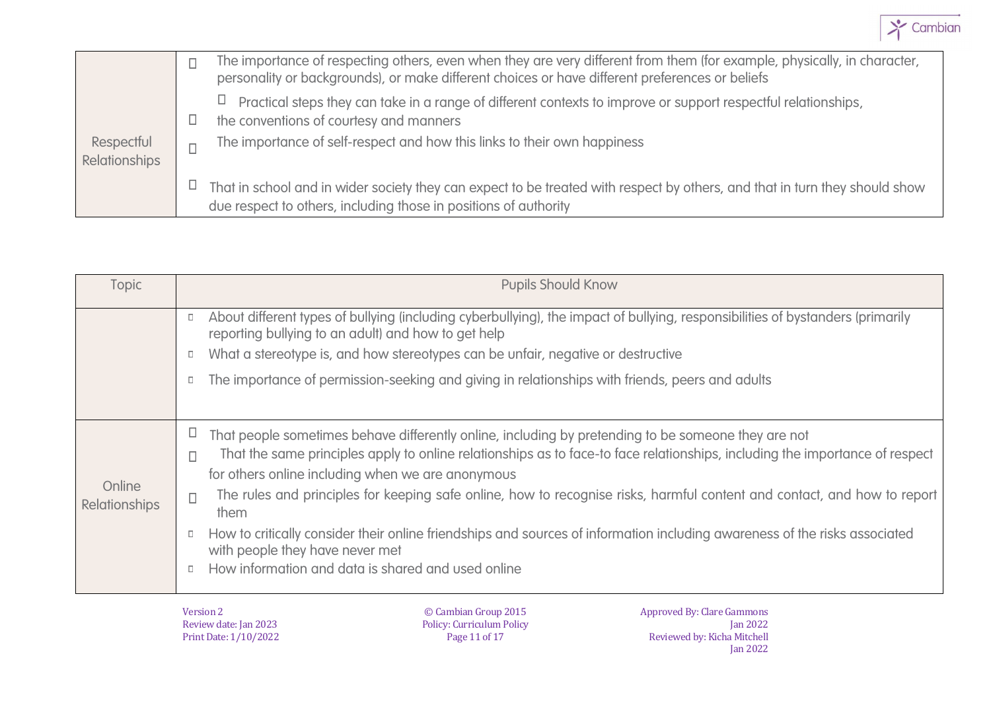

|               |   | The importance of respecting others, even when they are very different from them (for example, physically, in character,<br>personality or backgrounds), or make different choices or have different preferences or beliefs |
|---------------|---|-----------------------------------------------------------------------------------------------------------------------------------------------------------------------------------------------------------------------------|
|               |   | Practical steps they can take in a range of different contexts to improve or support respectful relationships,<br>the conventions of courtesy and manners                                                                   |
| Respectful    |   | The importance of self-respect and how this links to their own happiness                                                                                                                                                    |
| Relationships | Ц | That in school and in wider society they can expect to be treated with respect by others, and that in turn they should show                                                                                                 |
|               |   | due respect to others, including those in positions of authority                                                                                                                                                            |

| Topic                |        | <b>Pupils Should Know</b>                                                                                                                                                             |
|----------------------|--------|---------------------------------------------------------------------------------------------------------------------------------------------------------------------------------------|
|                      |        | About different types of bullying (including cyberbullying), the impact of bullying, responsibilities of bystanders (primarily<br>reporting bullying to an adult) and how to get help |
|                      | $\Box$ | What a stereotype is, and how stereotypes can be unfair, negative or destructive                                                                                                      |
|                      |        | The importance of permission-seeking and giving in relationships with friends, peers and adults                                                                                       |
|                      |        |                                                                                                                                                                                       |
|                      |        | That people sometimes behave differently online, including by pretending to be someone they are not                                                                                   |
|                      | П      | That the same principles apply to online relationships as to face-to face relationships, including the importance of respect                                                          |
| Online               |        | for others online including when we are anonymous                                                                                                                                     |
| <b>Relationships</b> | $\Box$ | The rules and principles for keeping safe online, how to recognise risks, harmful content and contact, and how to report<br>them                                                      |
|                      |        | How to critically consider their online friendships and sources of information including awareness of the risks associated<br>with people they have never met                         |
|                      |        | How information and data is shared and used online                                                                                                                                    |
|                      |        |                                                                                                                                                                                       |

Version 2 Review date: Jan 2023 Print Date: 1/10/2022

© Cambian Group 2015 Policy: Curriculum Policy Page 11 of 17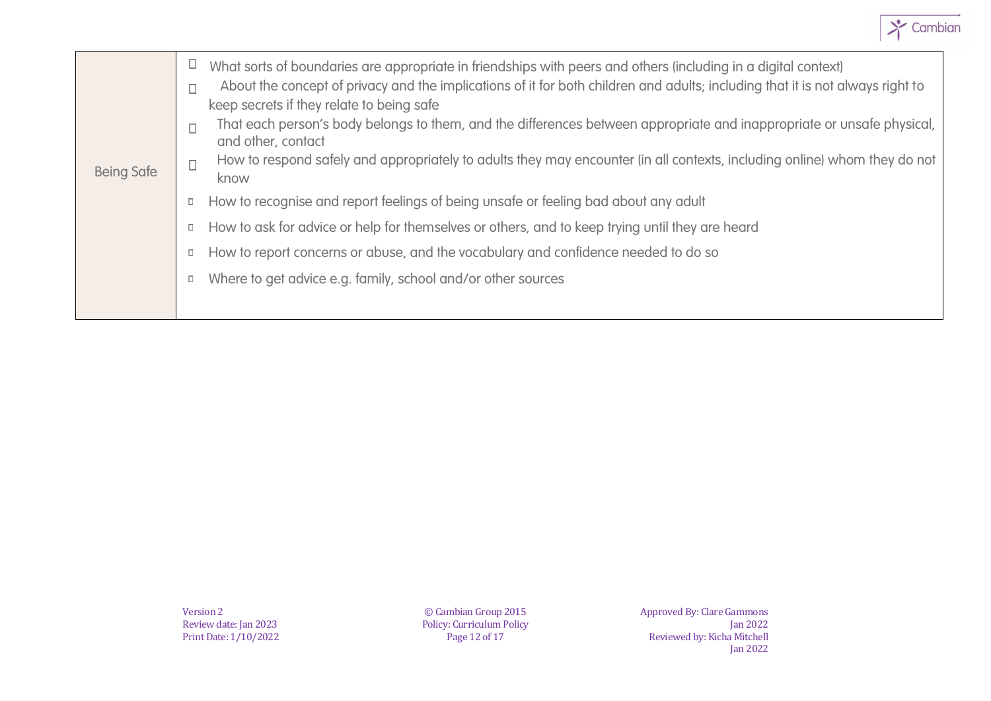

| <b>Being Safe</b> | Ц<br>п<br>П | What sorts of boundaries are appropriate in friendships with peers and others (including in a digital context)<br>About the concept of privacy and the implications of it for both children and adults; including that it is not always right to<br>keep secrets if they relate to being safe<br>That each person's body belongs to them, and the differences between appropriate and inappropriate or unsafe physical,<br>and other, contact<br>How to respond safely and appropriately to adults they may encounter (in all contexts, including online) whom they do not<br>know |
|-------------------|-------------|------------------------------------------------------------------------------------------------------------------------------------------------------------------------------------------------------------------------------------------------------------------------------------------------------------------------------------------------------------------------------------------------------------------------------------------------------------------------------------------------------------------------------------------------------------------------------------|
|                   | $\Box$      | How to recognise and report feelings of being unsafe or feeling bad about any adult                                                                                                                                                                                                                                                                                                                                                                                                                                                                                                |
|                   | D           | How to ask for advice or help for themselves or others, and to keep trying until they are heard                                                                                                                                                                                                                                                                                                                                                                                                                                                                                    |
|                   | $\Box$      | How to report concerns or abuse, and the vocabulary and confidence needed to do so                                                                                                                                                                                                                                                                                                                                                                                                                                                                                                 |
|                   | $\Box$      | Where to get advice e.g. family, school and/or other sources                                                                                                                                                                                                                                                                                                                                                                                                                                                                                                                       |
|                   |             |                                                                                                                                                                                                                                                                                                                                                                                                                                                                                                                                                                                    |

© Cambian Group 2015 Policy: Curriculum Policy Page 12 of 17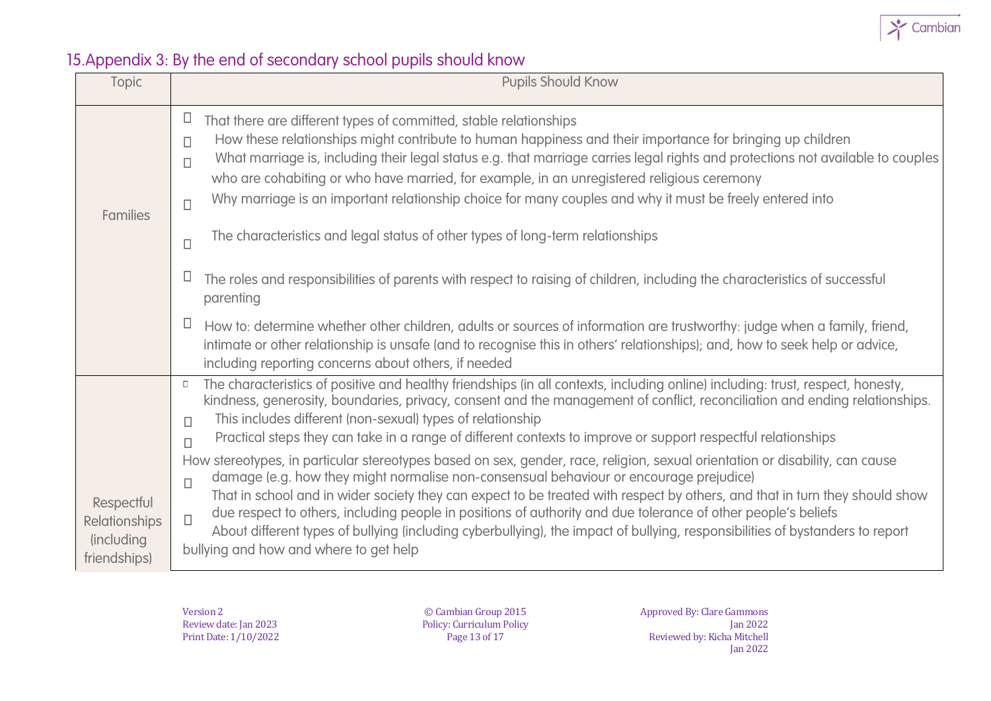

# 15.Appendix 3: By the end of secondary school pupils should know

| Topic                                                                    | <b>Pupils Should Know</b>                                                                                                                                                                                                                                                                                                                                                                                                                                                                                                                                                                                                                                             |
|--------------------------------------------------------------------------|-----------------------------------------------------------------------------------------------------------------------------------------------------------------------------------------------------------------------------------------------------------------------------------------------------------------------------------------------------------------------------------------------------------------------------------------------------------------------------------------------------------------------------------------------------------------------------------------------------------------------------------------------------------------------|
| <b>Families</b>                                                          | $\Box$<br>That there are different types of committed, stable relationships<br>How these relationships might contribute to human happiness and their importance for bringing up children<br>$\Box$<br>What marriage is, including their legal status e.g. that marriage carries legal rights and protections not available to couples<br>$\Box$<br>who are cohabiting or who have married, for example, in an unregistered religious ceremony<br>Why marriage is an important relationship choice for many couples and why it must be freely entered into<br>$\Box$<br>The characteristics and legal status of other types of long-term relationships<br>$\Box$       |
|                                                                          | Ц<br>The roles and responsibilities of parents with respect to raising of children, including the characteristics of successful<br>parenting                                                                                                                                                                                                                                                                                                                                                                                                                                                                                                                          |
|                                                                          | Ц<br>How to: determine whether other children, adults or sources of information are trustworthy: judge when a family, friend,<br>intimate or other relationship is unsafe (and to recognise this in others' relationships); and, how to seek help or advice,<br>including reporting concerns about others, if needed                                                                                                                                                                                                                                                                                                                                                  |
|                                                                          | The characteristics of positive and healthy friendships (in all contexts, including online) including: trust, respect, honesty,<br>kindness, generosity, boundaries, privacy, consent and the management of conflict, reconciliation and ending relationships.<br>This includes different (non-sexual) types of relationship<br>$\Box$<br>Practical steps they can take in a range of different contexts to improve or support respectful relationships<br>$\Box$                                                                                                                                                                                                     |
| Respectful<br><b>Relationships</b><br><i>(including)</i><br>friendships) | How stereotypes, in particular stereotypes based on sex, gender, race, religion, sexual orientation or disability, can cause<br>damage (e.g. how they might normalise non-consensual behaviour or encourage prejudice)<br>$\Box$<br>That in school and in wider society they can expect to be treated with respect by others, and that in turn they should show<br>due respect to others, including people in positions of authority and due tolerance of other people's beliefs<br>$\Box$<br>About different types of bullying (including cyberbullying), the impact of bullying, responsibilities of bystanders to report<br>bullying and how and where to get help |

Version 2 Review date: Jan 2023 Print Date: 1/10/2022

© Cambian Group 2015 Policy: Curriculum Policy Page 13 of 17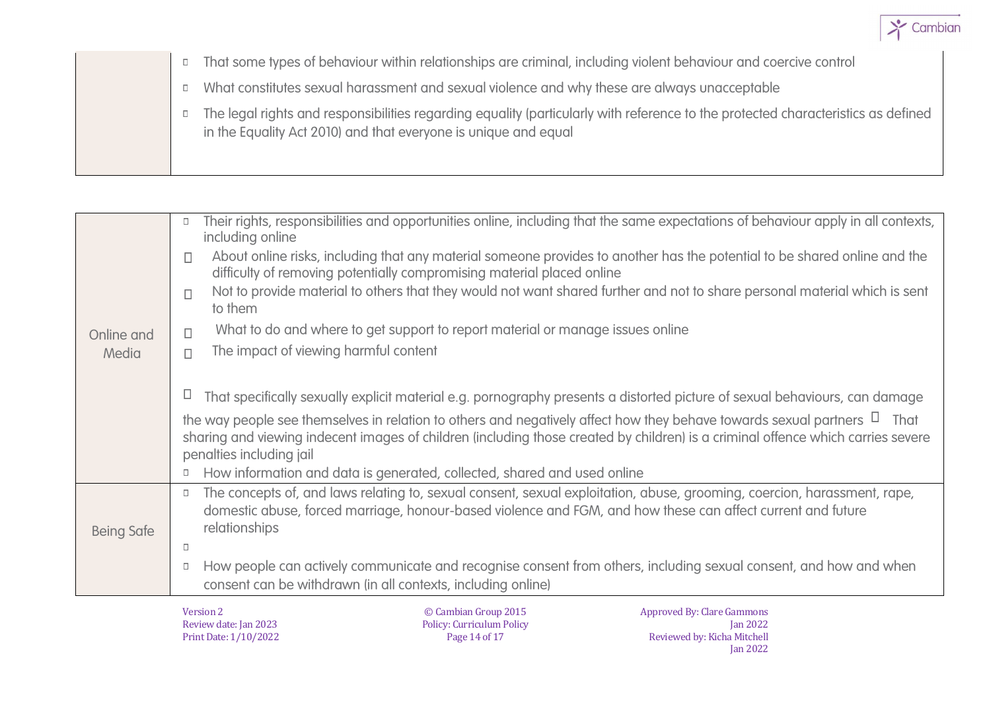

- That some types of behaviour within relationships are criminal, including violent behaviour and coercive control
	- What constitutes sexual harassment and sexual violence and why these are always unacceptable  $\Box$
	- The legal rights and responsibilities regarding equality (particularly with reference to the protected characteristics as defined in the Equality Act 2010) and that everyone is unique and equal

|                   | Their rights, responsibilities and opportunities online, including that the same expectations of behaviour apply in all contexts,<br>$\Box$<br>including online                                                                                                                               |
|-------------------|-----------------------------------------------------------------------------------------------------------------------------------------------------------------------------------------------------------------------------------------------------------------------------------------------|
|                   | About online risks, including that any material someone provides to another has the potential to be shared online and the<br>$\Box$<br>difficulty of removing potentially compromising material placed online                                                                                 |
|                   | Not to provide material to others that they would not want shared further and not to share personal material which is sent<br>$\Box$<br>to them                                                                                                                                               |
| Online and        | What to do and where to get support to report material or manage issues online<br>П                                                                                                                                                                                                           |
| Media             | The impact of viewing harmful content<br>П                                                                                                                                                                                                                                                    |
|                   | That specifically sexually explicit material e.g. pornography presents a distorted picture of sexual behaviours, can damage<br>Ц                                                                                                                                                              |
|                   | the way people see themselves in relation to others and negatively affect how they behave towards sexual partners $\Box$ That<br>sharing and viewing indecent images of children (including those created by children) is a criminal offence which carries severe<br>penalties including jail |
|                   | How information and data is generated, collected, shared and used online<br>$\Box$                                                                                                                                                                                                            |
| <b>Being Safe</b> | The concepts of, and laws relating to, sexual consent, sexual exploitation, abuse, grooming, coercion, harassment, rape,<br>$\Box$<br>domestic abuse, forced marriage, honour-based violence and FGM, and how these can affect current and future<br>relationships                            |
|                   | $\Box$                                                                                                                                                                                                                                                                                        |
|                   | How people can actively communicate and recognise consent from others, including sexual consent, and how and when<br>$\Box$                                                                                                                                                                   |
|                   | consent can be withdrawn (in all contexts, including online)                                                                                                                                                                                                                                  |
|                   | © Cambian Group 2015<br><b>Approved By: Clare Gammons</b><br>Version 2<br><b>Policy: Curriculum Policy</b><br>Review date: Jan 2023<br><b>Ian 2022</b>                                                                                                                                        |

Print Date: 1/10/2022

Page 14 of 17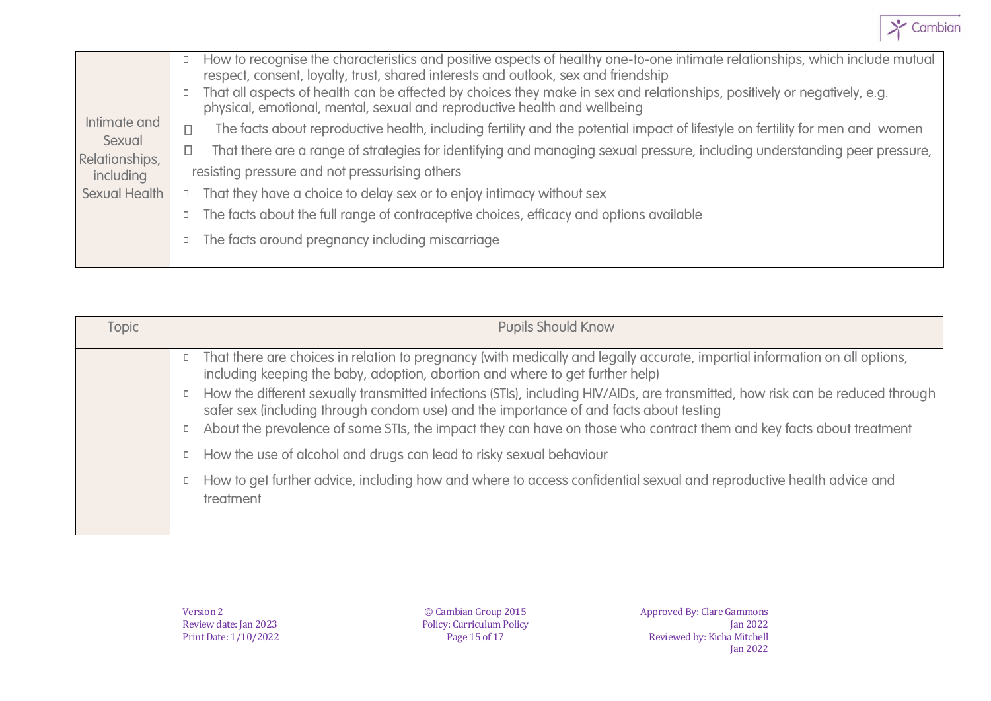

| Intimate and<br>Sexual<br>Relationships,<br>including<br>Sexual Health | $\Box$<br>$\Box$ | How to recognise the characteristics and positive aspects of healthy one-to-one intimate relationships, which include mutual<br>respect, consent, loyalty, trust, shared interests and outlook, sex and friendship<br>That all aspects of health can be affected by choices they make in sex and relationships, positively or negatively, e.g.<br>physical, emotional, mental, sexual and reproductive health and wellbeing<br>The facts about reproductive health, including fertility and the potential impact of lifestyle on fertility for men and women<br>That there are a range of strategies for identifying and managing sexual pressure, including understanding peer pressure,<br>resisting pressure and not pressurising others<br>That they have a choice to delay sex or to enjoy intimacy without sex<br>The facts about the full range of contraceptive choices, efficacy and options available |
|------------------------------------------------------------------------|------------------|-----------------------------------------------------------------------------------------------------------------------------------------------------------------------------------------------------------------------------------------------------------------------------------------------------------------------------------------------------------------------------------------------------------------------------------------------------------------------------------------------------------------------------------------------------------------------------------------------------------------------------------------------------------------------------------------------------------------------------------------------------------------------------------------------------------------------------------------------------------------------------------------------------------------|
|                                                                        |                  | The facts around pregnancy including miscarriage                                                                                                                                                                                                                                                                                                                                                                                                                                                                                                                                                                                                                                                                                                                                                                                                                                                                |
|                                                                        |                  |                                                                                                                                                                                                                                                                                                                                                                                                                                                                                                                                                                                                                                                                                                                                                                                                                                                                                                                 |

| <b>Topic</b> | <b>Pupils Should Know</b>                                                                                                                                                                                                                                                                                                                                  |
|--------------|------------------------------------------------------------------------------------------------------------------------------------------------------------------------------------------------------------------------------------------------------------------------------------------------------------------------------------------------------------|
|              | That there are choices in relation to pregnancy (with medically and legally accurate, impartial information on all options,<br>including keeping the baby, adoption, abortion and where to get further help)                                                                                                                                               |
|              | How the different sexually transmitted infections (STIs), including HIV/AIDs, are transmitted, how risk can be reduced through<br>safer sex (including through condom use) and the importance of and facts about testing<br>About the prevalence of some STIs, the impact they can have on those who contract them and key facts about treatment<br>$\Box$ |
|              | How the use of alcohol and drugs can lead to risky sexual behaviour<br>$\Box$                                                                                                                                                                                                                                                                              |
|              | How to get further advice, including how and where to access confidential sexual and reproductive health advice and<br>treatment                                                                                                                                                                                                                           |

© Cambian Group 2015 Policy: Curriculum Policy Page 15 of 17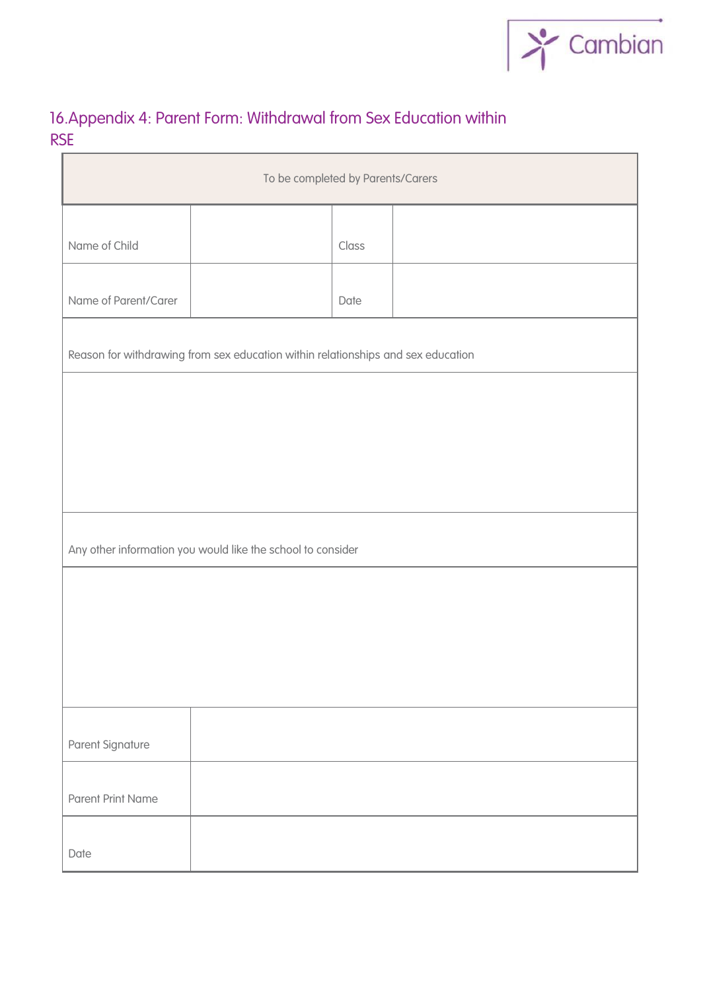

# 16.Appendix 4: Parent Form: Withdrawal from Sex Education within RSE

| To be completed by Parents/Carers                                                |                                                             |       |  |  |  |  |  |
|----------------------------------------------------------------------------------|-------------------------------------------------------------|-------|--|--|--|--|--|
| Name of Child                                                                    |                                                             | Class |  |  |  |  |  |
| Name of Parent/Carer                                                             |                                                             | Date  |  |  |  |  |  |
|                                                                                  |                                                             |       |  |  |  |  |  |
| Reason for withdrawing from sex education within relationships and sex education |                                                             |       |  |  |  |  |  |
|                                                                                  |                                                             |       |  |  |  |  |  |
|                                                                                  |                                                             |       |  |  |  |  |  |
|                                                                                  |                                                             |       |  |  |  |  |  |
|                                                                                  | Any other information you would like the school to consider |       |  |  |  |  |  |
|                                                                                  |                                                             |       |  |  |  |  |  |
|                                                                                  |                                                             |       |  |  |  |  |  |
| Parent Signature                                                                 |                                                             |       |  |  |  |  |  |
|                                                                                  |                                                             |       |  |  |  |  |  |
| <b>Parent Print Name</b>                                                         |                                                             |       |  |  |  |  |  |
| Date                                                                             |                                                             |       |  |  |  |  |  |